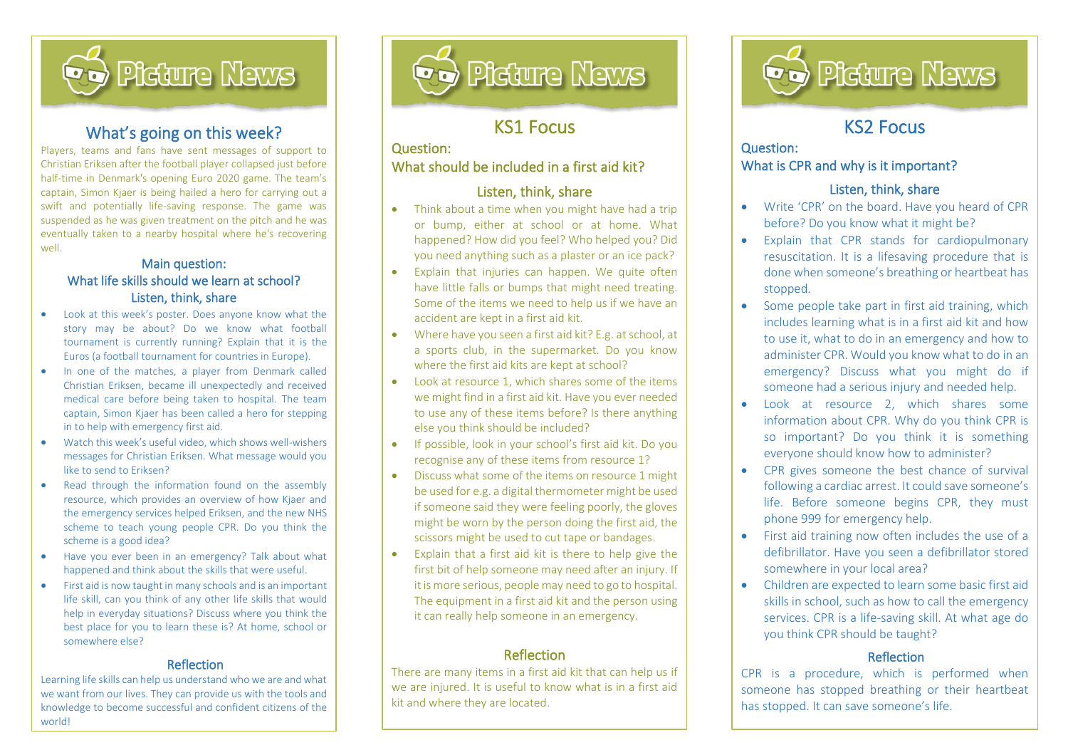

## What's going on this week?

İ,

Players, teams and fans have sent messages of support to Christian Eriksen after the football player collapsed just before half-time in Denmark's opening Euro 2020 game. The team's captain, Simon Kjaer is being hailed a hero for carrying out a swift and potentially life-saving response. The game was suspended as he was given treatment on the pitch and he was eventually taken to a nearby hospital where he's recovering well.

#### Main question: What life skills should we learn at school? Listen, think, share

- Look at this week's poster. Does anyone know what the story may be about? Do we know what football tournament is currently running? Explain that it is the Euros (a football tournament for countries in Europe).
- In one of the matches, a player from Denmark called Christian Eriksen, became ill unexpectedly and received medical care before being taken to hospital. The team captain, Simon Kjaer has been called a hero for stepping in to help with emergency first aid.
- Watch this week's useful video, which shows well-wishers messages for Christian Eriksen. What message would you like to send to Eriksen?
- Read through the information found on the assembly resource, which provides an overview of how Kjaer and the emergency services helped Eriksen, and the new NHS scheme to teach young people CPR. Do you think the scheme is a good idea?
- Have you ever been in an emergency? Talk about what happened and think about the skills that were useful.
- First aid is now taught in many schools and is an important life skill, can you think of any other life skills that would help in everyday situations? Discuss where you think the best place for you to learn these is? At home, school or somewhere else?

#### Reflection

Learning life skills can help us understand who we are and what we want from our lives. They can provide us with the tools and knowledge to become successful and confident citizens of the world!



## KS1 Focus

l

### Question: What should be included in a first aid kit?

#### Listen, think, share

- Think about a time when you might have had a trip or bump, either at school or at home. What happened? How did you feel? Who helped you? Did you need anything such as a plaster or an ice pack?
- Explain that injuries can happen. We quite often have little falls or bumps that might need treating. Some of the items we need to help us if we have an accident are kept in a first aid kit.
- Where have you seen a first aid kit? E.g. at school, at a sports club, in the supermarket. Do you know where the first aid kits are kept at school?
- Look at resource 1, which shares some of the items we might find in a first aid kit. Have you ever needed to use any of these items before? Is there anything else you think should be included?
- If possible, look in your school's first aid kit. Do you recognise any of these items from resource 1?
- Discuss what some of the items on resource 1 might be used for e.g. a digital thermometer might be used if someone said they were feeling poorly, the gloves might be worn by the person doing the first aid, the scissors might be used to cut tape or bandages.
- Explain that a first aid kit is there to help give the first bit of help someone may need after an injury. If it is more serious, people may need to go to hospital. The equipment in a first aid kit and the person using it can really help someone in an emergency.

#### Reflection

There are many items in a first aid kit that can help us if we are injured. It is useful to know what is in a first aid kit and where they are located.



# KS2 Focus

l

#### Question: What is CPR and why is it important?

#### Listen, think, share

- Write 'CPR' on the board. Have you heard of CPR before? Do you know what it might be?
- Explain that CPR stands for cardiopulmonary resuscitation. It is a lifesaving procedure that is done when someone's breathing or heartbeat has stopped.
- Some people take part in first aid training, which includes learning what is in a first aid kit and how to use it, what to do in an emergency and how to administer CPR. Would you know what to do in an emergency? Discuss what you might do if someone had a serious injury and needed help.
- Look at resource 2, which shares some information about CPR. Why do you think CPR is so important? Do you think it is something everyone should know how to administer?
- CPR gives someone the best chance of survival following a cardiac arrest. It could save someone's life. Before someone begins CPR, they must phone 999 for emergency help.
- First aid training now often includes the use of a defibrillator. Have you seen a defibrillator stored somewhere in your local area?
- Children are expected to learn some basic first aid skills in school, such as how to call the emergency services. CPR is a life-saving skill. At what age do you think CPR should be taught?

#### **Reflection**

CPR is a procedure, which is performed when someone has stopped breathing or their heartbeat has stopped. It can save someone's life.